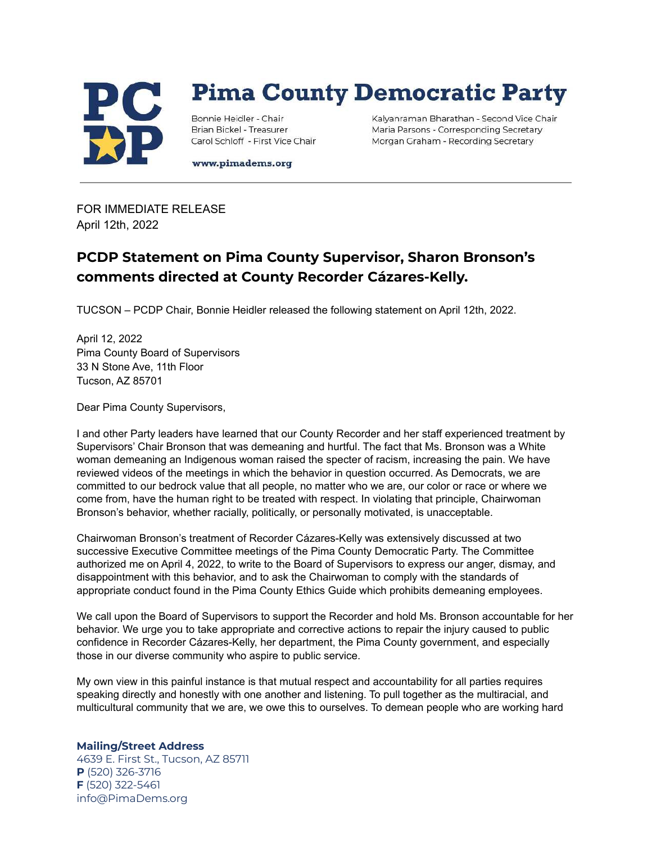

## **Pima County Democratic Party**

Bonnie Heidler - Chair Brian Bickel - Treasurer Carol Schloff - First Vice Chair Kalyanraman Bharathan - Second Vice Chair Maria Parsons - Corresponding Secretary Morgan Graham - Recording Secretary

www.pimadems.org

FOR IMMEDIATE RELEASE April 12th, 2022

## **PCDP Statement on Pima County Supervisor, Sharon Bronson's comments directed at County Recorder Cázares-Kelly.**

TUCSON – PCDP Chair, Bonnie Heidler released the following statement on April 12th, 2022.

April 12, 2022 Pima County Board of Supervisors 33 N Stone Ave, 11th Floor Tucson, AZ 85701

Dear Pima County Supervisors,

I and other Party leaders have learned that our County Recorder and her staff experienced treatment by Supervisors' Chair Bronson that was demeaning and hurtful. The fact that Ms. Bronson was a White woman demeaning an Indigenous woman raised the specter of racism, increasing the pain. We have reviewed videos of the meetings in which the behavior in question occurred. As Democrats, we are committed to our bedrock value that all people, no matter who we are, our color or race or where we come from, have the human right to be treated with respect. In violating that principle, Chairwoman Bronson's behavior, whether racially, politically, or personally motivated, is unacceptable.

Chairwoman Bronson's treatment of Recorder Cázares-Kelly was extensively discussed at two successive Executive Committee meetings of the Pima County Democratic Party. The Committee authorized me on April 4, 2022, to write to the Board of Supervisors to express our anger, dismay, and disappointment with this behavior, and to ask the Chairwoman to comply with the standards of appropriate conduct found in the Pima County Ethics Guide which prohibits demeaning employees.

We call upon the Board of Supervisors to support the Recorder and hold Ms. Bronson accountable for her behavior. We urge you to take appropriate and corrective actions to repair the injury caused to public confidence in Recorder Cázares-Kelly, her department, the Pima County government, and especially those in our diverse community who aspire to public service.

My own view in this painful instance is that mutual respect and accountability for all parties requires speaking directly and honestly with one another and listening. To pull together as the multiracial, and multicultural community that we are, we owe this to ourselves. To demean people who are working hard

## **Mailing/Street Address**

4639 E. First St., Tucson, AZ 85711 **P** (520) 326-3716 **F** (520) 322-5461 info@PimaDems.org